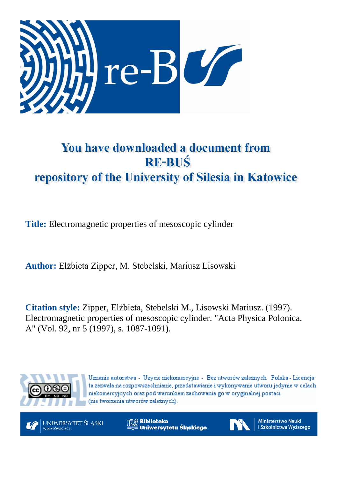

## You have downloaded a document from **RE-BUŚ** repository of the University of Silesia in Katowice

**Title:** Electromagnetic properties of mesoscopic cylinder

**Author:** Elżbieta Zipper, M. Stebelski, Mariusz Lisowski

**Citation style:** Zipper, Elżbieta, Stebelski M., Lisowski Mariusz. (1997). Electromagnetic properties of mesoscopic cylinder. "Acta Physica Polonica. A" (Vol. 92, nr 5 (1997), s. 1087-1091).



Uznanie autorstwa - Użycie niekomercyjne - Bez utworów zależnych Polska - Licencja ta zezwala na rozpowszechnianie, przedstawianie i wykonywanie utworu jedynie w celach niekomercyjnych oraz pod warunkiem zachowania go w oryginalnej postaci (nie tworzenia utworów zależnych).



**Biblioteka** Uniwersytetu Śląskiego



**Ministerstwo Nauki** i Szkolnictwa Wyższego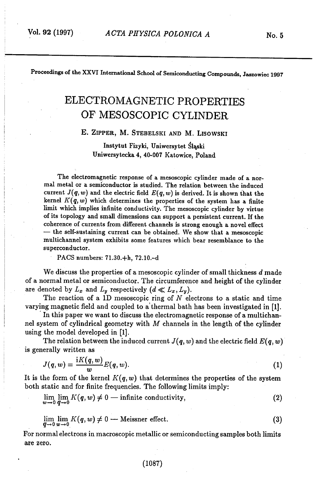**Proceedings of the XXVI International School of Semiconducting Compounds, Jaszowiec 1997**

## ELECTROMAGNETIC PROPERTIES OF MESOSCOPIC CYLINDER

## **Ε. ZIPPER, Μ. STEBELSKI AND M.** LISOWSKI

Instytut Fizyki, Uniwersytet Śląski Uniwersytecka 4, 40-007 Katowice, Poland

The electromagnetic response of a mesoscopic cylinder made of a normal metal or a semiconductor is studied. The relation between the induced current  $J(q, w)$  and the electric field  $E(q, w)$  is derived. It is shown that the kernel *K(q, w)* which determines the properties of the system *has* a finite limit which implies infinite conductivity. The mesoscopic cylinder by virtue of its topology and small dimensions can support a persistent current. If the coherence of currents from different channels is strong enough a novel effect — the self-sustaining current can be obtained. We show tlat a mesoscopic multichannel system exhibits some features which bear resemblance to the superconductor.

PACS numbers: 71.30.+h, 72.10.-d

We discuss the properties of a mesoscopic cylinder of small thickness *d* made of a normal metal or semiconductor. The circumference and height of the cylinder are denoted by  $L_x$  and  $L_y$  respectively  $(d \ll L_x, L_y)$ .

The reaction of a 1D mesoscopic ring of *N* electrons to a static and time varying magnetic field and coupled to a thermal bath has been investigated in [1].

In this paper we want to discuss the electromagnetic response of a multichannel system of cylindrical geometry with M channels in the length of the cylinder using the model developed in [1].

The relation between the induced current  $J(q, w)$  and the electric field  $E(q, w)$ is generally written as

$$
J(q, w) = \frac{iK(q, w)}{w} E(q, w).
$$
 (1)

It is the form of the kernel  $K(q, w)$  that determines the properties of the system both static and for finite frequencies. The following limits imply:

$$
\lim_{w \to 0} \lim_{q \to 0} K(q, w) \neq 0
$$
— infinite conductivity, (2)

$$
\lim_{q \to 0} \lim_{w \to 0} K(q, w) \neq 0 \longrightarrow \text{Meissner effect.} \tag{3}
$$

For normal electrons in macroscopic metallic or semiconducting samples both limits are zero.

(1087)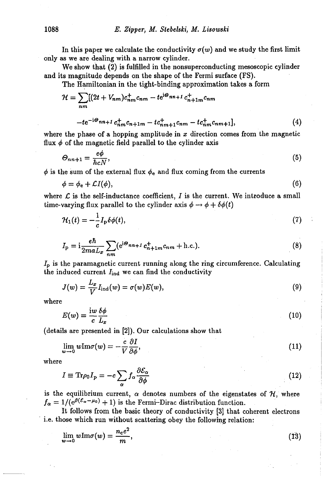In this paper we calculate the conductivity  $\sigma(w)$  and we study the first limit only *as* we are dealing with a narrow cylinder.

We show that (2) is fulfilled in the nonsuperconducting mesoscopic cylinder and its magnitude depends on the shape of the Fermi surface (FS).

The Hamiltonian in the tight-binding approximation takes a form

$$
\mathcal{H} = \sum_{nm} [(2t + V_{nm})c_{nm}^{\dagger} c_{nm} - t e^{i\Theta_{nn+1}} c_{n+1m}^{\dagger} c_{nm}]
$$

$$
-te^{-i\Theta_{nn+1}}c_{nm}^{+}c_{n+1m}^{-} - tc_{nm+1}^{+}c_{nm} - tc_{nm}^{+}c_{nm+1}^{-} \tag{4}
$$

where the phase of a hopping amplitude in *x* direction comes from the magnetic flux *φ* of the magnetic field parallel to the cylinder axis

$$
\Theta_{nn+1} = \frac{e\phi}{\hbar cN},\tag{5}
$$

 $\phi$  is the sum of the external flux  $\phi_e$  and flux coming from the currents

$$
\phi = \phi_{\rm e} + \mathcal{L}I(\phi),\tag{6}
$$

where  $\mathcal L$  is the self-inductance coefficient,  $I$  is the current. We introduce a small time-varying flux parallel to the cylinder axis  $\phi \rightarrow \phi + \delta \phi(t)$ 

$$
\mathcal{H}_1(t) = -\frac{1}{c} I_{\rm p} \delta \phi(t),\tag{7}
$$

$$
I_{\rm p} = \mathrm{i} \frac{e\hbar}{2maL_x} \sum_{nm} (e^{i\Theta_{nn+1}} c_{n+1m}^{\dagger} c_{nm} + \text{h.c.}). \tag{8}
$$

 $I<sub>p</sub>$  is the paramagnetic current running along the ring circumference. Calculating the induced current  $I_{\text{ind}}$  we can find the conductivity

$$
J(w) = \frac{L_x}{V} I_{\text{ind}}(w) = \sigma(w) E(w), \qquad (9)
$$

where

$$
E(w) = \frac{\mathrm{i}w}{c} \frac{\delta \phi}{L_x} \tag{10}
$$

(details are presented in [2]). Our calculations show that

$$
\lim_{w \to 0} w \text{Im}\sigma(w) = -\frac{c}{V} \frac{\partial I}{\partial \phi},\tag{11}
$$

where

$$
I \equiv \text{Tr}\rho_0 I_p = -c \sum_{\alpha} f_{\alpha} \frac{\partial \mathcal{E}_{\alpha}}{\partial \phi} \tag{12}
$$

is the equilibrium current,  $\alpha$  denotes numbers of the eigenstates of H, where  $f_{\alpha} = 1/(e^{\beta(\mathcal{E}_{\alpha}-\mu_0)}+1)$  is the Fermi-Dirac distribution function.

It follows from the basic theory of conductivity [3] that coherent electrons i.e. those which run without scattering obey the following relation:

$$
\lim_{w \to 0} w \text{Im}\sigma(w) = \frac{n_c e^2}{m},\tag{13}
$$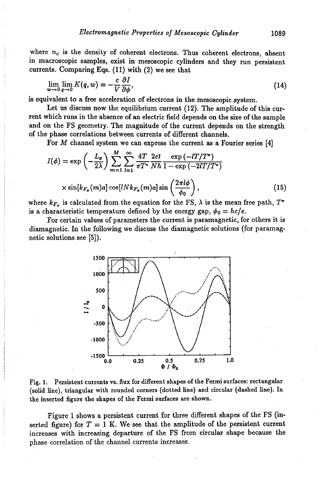where  $n_c$  is the density of coherent electrons. Thus coherent electrons, absent in macroscopic samples, exist in mesoscopic cylinders and they run persistent currents. Comparing Eqs. (11) with (2) we see that

$$
\lim_{w \to 0} \lim_{q \to 0} K(q, w) = -\frac{c}{V} \frac{\partial I}{\partial \phi},\tag{14}
$$

is equivalent to a free acceleration of electrons in the mesoscopic system.

Let us discuss now the equilibrium current  $(12)$ . The amplitude of this current which runs in the absence of an electric field depends on the size of the sample and on the FS geometry. The magnitude of the current depends on the strength of the phase correlations between currents of different channels.

For *M* channel system we can express the current as a Fourier series [4]

$$
I(\phi) = \exp\left(-\frac{L_x}{2\lambda}\right) \sum_{m=1}^{M} \sum_{l=1}^{\infty} \frac{4T}{\pi T^*} \frac{2et}{N\hbar} \frac{\exp\left(-lT/T^*\right)}{1 - \exp\left(-2lT/T^*\right)}
$$

$$
\times \sin[k_{F_x}(m)a] \cos[lN k_{F_x}(m)a] \sin\left(\frac{2\pi l\phi}{\phi_0}\right),\tag{15}
$$

where  $k_{F_{\tau}}$  is calculated from the equation for the FS,  $\lambda$  is the mean free path,  $T^*$ is a characteristic temperature defined by the energy gap,  $\phi_0 = hc/e$ .

For certain values of parameters the current is paramagnetic, for others it is diamagnetic. In the following we discuss the diamagnetic solutions (for paramagnetic solutions see [5]).



Fig. 1. Persistent currents vs. flux for different shapes of the Fermi surfaces: rectangular (solid line), triangular with rounded corners (dotted line) and circular (dashed line). In the inserted figure the shapes of the Fermi surfaces are shown.

Figure 1 shows a persistent current for three different shapes of the FS (inserted figure) for  $T = 1$  K. We see that the amplitude of the persistent current increases with increasing departure of the FS from circular shape because the phase correlation of the channel currents increases.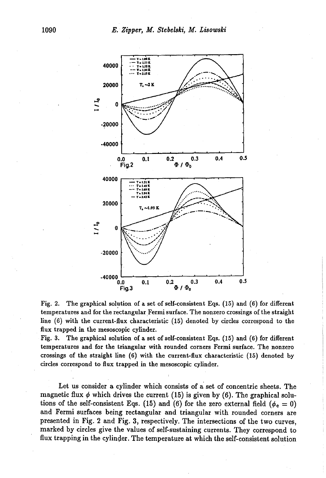

Fig. 2. The graphical solution of a set of self-consistent Eqs. (15) and (6) for different temperatures and for the rectangular Fermi surface. The nonzero crossings of the straight line (6) with the current-flux characteristic (15) denoted by circles correspond to the flux trapped in the mesoscopic cylinder.

Fig. 3. The graphical solution of a set of self-consistent Eqs. (15) and (6) for different temperatures and for the triangular with rounded corners Fermi surface. The nonzero crossings of the straight line  $(6)$  with the current-flux characteristic  $(15)$  denoted by circles correspond to flux trapped in the mesoscopic cylinder.

Let us consider a cylinder which consists of a set of concentric sheets. The magnetic flux  $\phi$  which drives the current (15) is given by (6). The graphical solutions of the self-consistent Eqs. (15) and (6) for the zero external field ( $\phi_e = 0$ ) and Fermi surfaces being rectangular and triangular with rounded corners are presented in Fig. 2 and Fig. 3, respectively. The intersections of the two curves, marked by circles give the values of self-sustaining currents. They correspond to flux trapping in the cylinder. The temperature at which the self-consistent solution